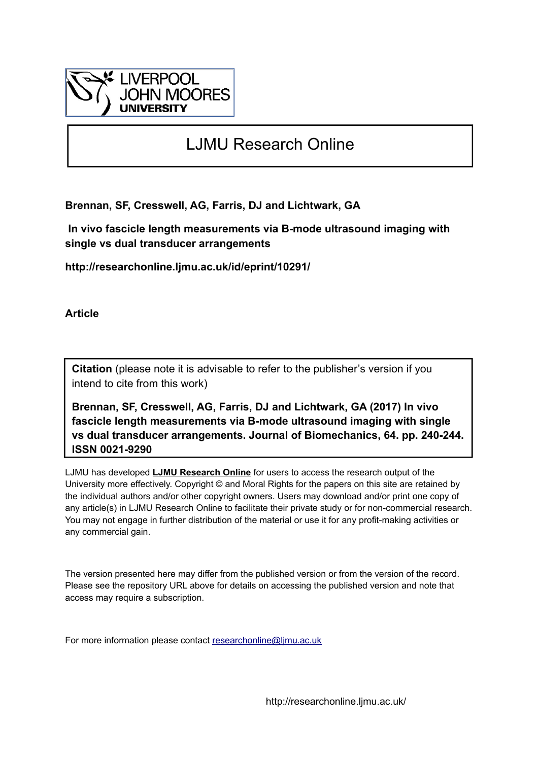

# LJMU Research Online

**Brennan, SF, Cresswell, AG, Farris, DJ and Lichtwark, GA**

 **In vivo fascicle length measurements via B-mode ultrasound imaging with single vs dual transducer arrangements**

**http://researchonline.ljmu.ac.uk/id/eprint/10291/**

**Article**

**Citation** (please note it is advisable to refer to the publisher's version if you intend to cite from this work)

**Brennan, SF, Cresswell, AG, Farris, DJ and Lichtwark, GA (2017) In vivo fascicle length measurements via B-mode ultrasound imaging with single vs dual transducer arrangements. Journal of Biomechanics, 64. pp. 240-244. ISSN 0021-9290** 

LJMU has developed **[LJMU Research Online](http://researchonline.ljmu.ac.uk/)** for users to access the research output of the University more effectively. Copyright © and Moral Rights for the papers on this site are retained by the individual authors and/or other copyright owners. Users may download and/or print one copy of any article(s) in LJMU Research Online to facilitate their private study or for non-commercial research. You may not engage in further distribution of the material or use it for any profit-making activities or any commercial gain.

The version presented here may differ from the published version or from the version of the record. Please see the repository URL above for details on accessing the published version and note that access may require a subscription.

For more information please contact [researchonline@ljmu.ac.uk](mailto:researchonline@ljmu.ac.uk)

http://researchonline.ljmu.ac.uk/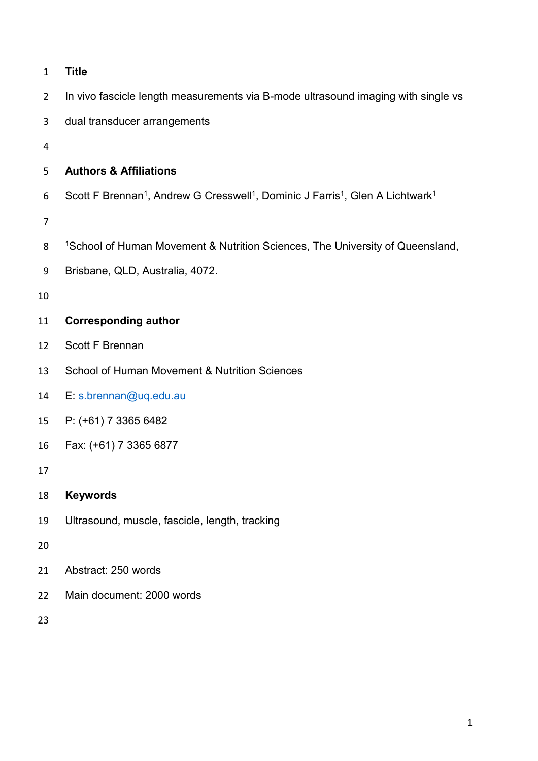| $\mathbf{1}$   | <b>Title</b>                                                                                                                   |
|----------------|--------------------------------------------------------------------------------------------------------------------------------|
| $\overline{2}$ | In vivo fascicle length measurements via B-mode ultrasound imaging with single vs                                              |
| 3              | dual transducer arrangements                                                                                                   |
| 4              |                                                                                                                                |
| 5              | <b>Authors &amp; Affiliations</b>                                                                                              |
| 6              | Scott F Brennan <sup>1</sup> , Andrew G Cresswell <sup>1</sup> , Dominic J Farris <sup>1</sup> , Glen A Lichtwark <sup>1</sup> |
| 7              |                                                                                                                                |
| 8              | <sup>1</sup> School of Human Movement & Nutrition Sciences, The University of Queensland,                                      |
| 9              | Brisbane, QLD, Australia, 4072.                                                                                                |
| 10             |                                                                                                                                |
| 11             | <b>Corresponding author</b>                                                                                                    |
| 12             | <b>Scott F Brennan</b>                                                                                                         |
| 13             | School of Human Movement & Nutrition Sciences                                                                                  |
| 14             | E: s.brennan@uq.edu.au                                                                                                         |
| 15             | P: (+61) 7 3365 6482                                                                                                           |
| 16             | Fax: (+61) 7 3365 6877                                                                                                         |
| 17             |                                                                                                                                |
| 18             | <b>Keywords</b>                                                                                                                |
| 19             | Ultrasound, muscle, fascicle, length, tracking                                                                                 |
| 20             |                                                                                                                                |
| 21             | Abstract: 250 words                                                                                                            |
| 22             | Main document: 2000 words                                                                                                      |
| 23             |                                                                                                                                |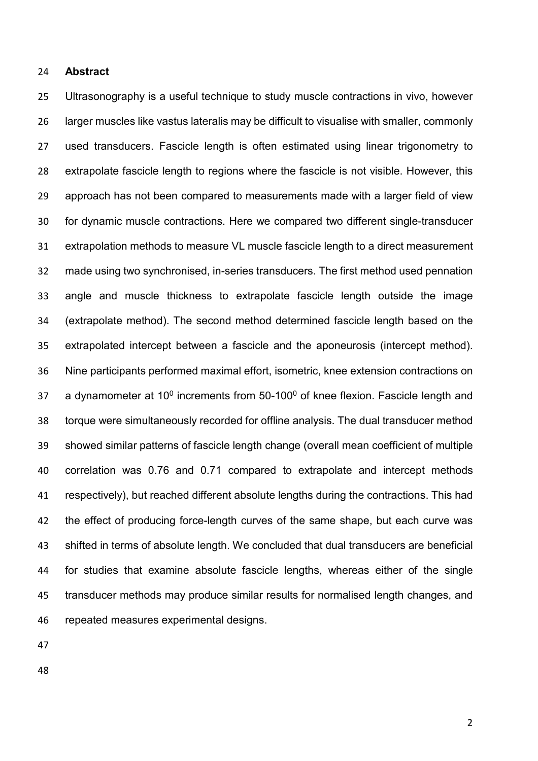#### **Abstract**

 Ultrasonography is a useful technique to study muscle contractions in vivo, however larger muscles like vastus lateralis may be difficult to visualise with smaller, commonly used transducers. Fascicle length is often estimated using linear trigonometry to extrapolate fascicle length to regions where the fascicle is not visible. However, this approach has not been compared to measurements made with a larger field of view for dynamic muscle contractions. Here we compared two different single-transducer extrapolation methods to measure VL muscle fascicle length to a direct measurement made using two synchronised, in-series transducers. The first method used pennation angle and muscle thickness to extrapolate fascicle length outside the image (extrapolate method). The second method determined fascicle length based on the extrapolated intercept between a fascicle and the aponeurosis (intercept method). Nine participants performed maximal effort, isometric, knee extension contractions on 37 a dynamometer at  $10^0$  increments from  $50-100^0$  of knee flexion. Fascicle length and torque were simultaneously recorded for offline analysis. The dual transducer method showed similar patterns of fascicle length change (overall mean coefficient of multiple correlation was 0.76 and 0.71 compared to extrapolate and intercept methods respectively), but reached different absolute lengths during the contractions. This had the effect of producing force-length curves of the same shape, but each curve was shifted in terms of absolute length. We concluded that dual transducers are beneficial for studies that examine absolute fascicle lengths, whereas either of the single transducer methods may produce similar results for normalised length changes, and repeated measures experimental designs.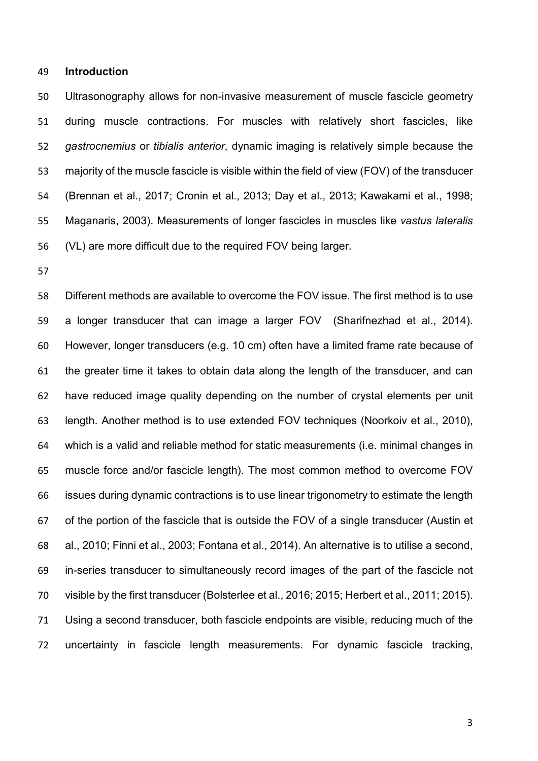#### **Introduction**

 Ultrasonography allows for non-invasive measurement of muscle fascicle geometry during muscle contractions. For muscles with relatively short fascicles, like *gastrocnemius* or *tibialis anterior*, dynamic imaging is relatively simple because the majority of the muscle fascicle is visible within the field of view (FOV) of the transducer (Brennan et al., 2017; Cronin et al., 2013; Day et al., 2013; Kawakami et al., 1998; Maganaris, 2003). Measurements of longer fascicles in muscles like *vastus lateralis* (VL) are more difficult due to the required FOV being larger.

 Different methods are available to overcome the FOV issue. The first method is to use a longer transducer that can image a larger FOV (Sharifnezhad et al., 2014). However, longer transducers (e.g. 10 cm) often have a limited frame rate because of the greater time it takes to obtain data along the length of the transducer, and can have reduced image quality depending on the number of crystal elements per unit length. Another method is to use extended FOV techniques (Noorkoiv et al., 2010), which is a valid and reliable method for static measurements (i.e. minimal changes in muscle force and/or fascicle length). The most common method to overcome FOV issues during dynamic contractions is to use linear trigonometry to estimate the length of the portion of the fascicle that is outside the FOV of a single transducer (Austin et al., 2010; Finni et al., 2003; Fontana et al., 2014). An alternative is to utilise a second, in-series transducer to simultaneously record images of the part of the fascicle not visible by the first transducer (Bolsterlee et al., 2016; 2015; Herbert et al., 2011; 2015). Using a second transducer, both fascicle endpoints are visible, reducing much of the uncertainty in fascicle length measurements. For dynamic fascicle tracking,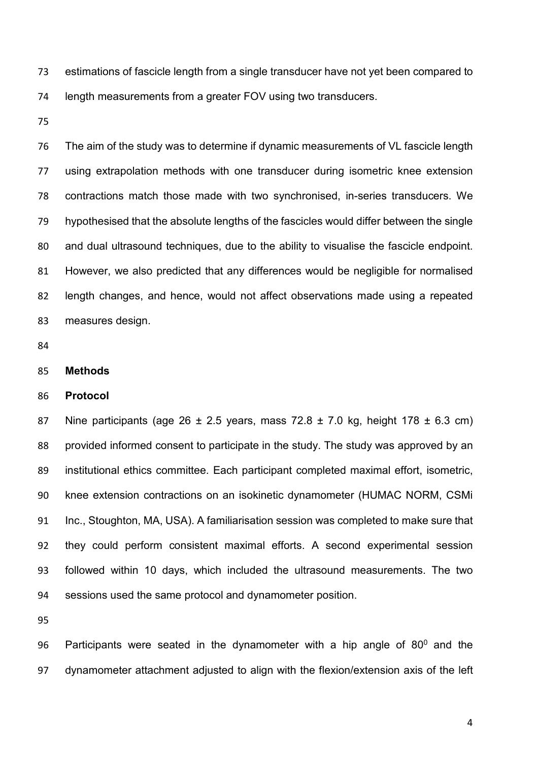estimations of fascicle length from a single transducer have not yet been compared to length measurements from a greater FOV using two transducers.

 The aim of the study was to determine if dynamic measurements of VL fascicle length using extrapolation methods with one transducer during isometric knee extension contractions match those made with two synchronised, in-series transducers. We hypothesised that the absolute lengths of the fascicles would differ between the single and dual ultrasound techniques, due to the ability to visualise the fascicle endpoint. However, we also predicted that any differences would be negligible for normalised length changes, and hence, would not affect observations made using a repeated measures design.

- 
- **Methods**

#### **Protocol**

87 Nine participants (age  $26 \pm 2.5$  years, mass  $72.8 \pm 7.0$  kg, height  $178 \pm 6.3$  cm) provided informed consent to participate in the study. The study was approved by an institutional ethics committee. Each participant completed maximal effort, isometric, knee extension contractions on an isokinetic dynamometer (HUMAC NORM, CSMi Inc., Stoughton, MA, USA). A familiarisation session was completed to make sure that they could perform consistent maximal efforts. A second experimental session followed within 10 days, which included the ultrasound measurements. The two sessions used the same protocol and dynamometer position.

96 Participants were seated in the dynamometer with a hip angle of  $80^0$  and the dynamometer attachment adjusted to align with the flexion/extension axis of the left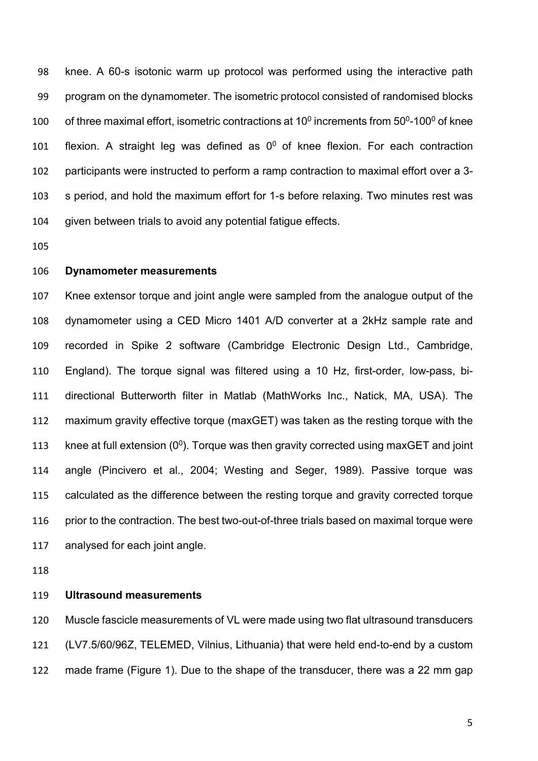knee. A 60-s isotonic warm up protocol was performed using the interactive path program on the dynamometer. The isometric protocol consisted of randomised blocks 100 of three maximal effort, isometric contractions at  $10^0$  increments from  $50^0$ -100 $^0$  of knee 101 flexion. A straight leg was defined as  $0^0$  of knee flexion. For each contraction participants were instructed to perform a ramp contraction to maximal effort over a 3- s period, and hold the maximum effort for 1-s before relaxing. Two minutes rest was given between trials to avoid any potential fatigue effects.

#### **Dynamometer measurements**

 Knee extensor torque and joint angle were sampled from the analogue output of the dynamometer using a CED Micro 1401 A/D converter at a 2kHz sample rate and recorded in Spike 2 software (Cambridge Electronic Design Ltd., Cambridge, England). The torque signal was filtered using a 10 Hz, first-order, low-pass, bi- directional Butterworth filter in Matlab (MathWorks Inc., Natick, MA, USA). The maximum gravity effective torque (maxGET) was taken as the resting torque with the 113 knee at full extension  $(0^0)$ . Torque was then gravity corrected using maxGET and joint angle (Pincivero et al., 2004; Westing and Seger, 1989). Passive torque was calculated as the difference between the resting torque and gravity corrected torque 116 prior to the contraction. The best two-out-of-three trials based on maximal torque were analysed for each joint angle.

#### **Ultrasound measurements**

 Muscle fascicle measurements of VL were made using two flat ultrasound transducers (LV7.5/60/96Z, TELEMED, Vilnius, Lithuania) that were held end-to-end by a custom made frame (Figure 1). Due to the shape of the transducer, there was a 22 mm gap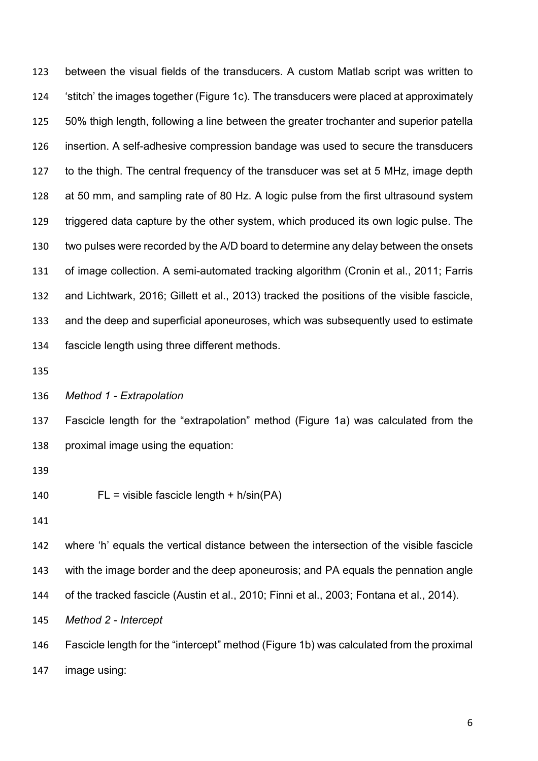between the visual fields of the transducers. A custom Matlab script was written to 'stitch' the images together (Figure 1c). The transducers were placed at approximately 50% thigh length, following a line between the greater trochanter and superior patella insertion. A self-adhesive compression bandage was used to secure the transducers to the thigh. The central frequency of the transducer was set at 5 MHz, image depth at 50 mm, and sampling rate of 80 Hz. A logic pulse from the first ultrasound system triggered data capture by the other system, which produced its own logic pulse. The two pulses were recorded by the A/D board to determine any delay between the onsets of image collection. A semi-automated tracking algorithm (Cronin et al., 2011; Farris and Lichtwark, 2016; Gillett et al., 2013) tracked the positions of the visible fascicle, and the deep and superficial aponeuroses, which was subsequently used to estimate fascicle length using three different methods.

*Method 1 - Extrapolation*

 Fascicle length for the "extrapolation" method (Figure 1a) was calculated from the proximal image using the equation:

FL = visible fascicle length + h/sin(PA)

 where 'h' equals the vertical distance between the intersection of the visible fascicle with the image border and the deep aponeurosis; and PA equals the pennation angle of the tracked fascicle (Austin et al., 2010; Finni et al., 2003; Fontana et al., 2014). *Method 2 - Intercept*

 Fascicle length for the "intercept" method (Figure 1b) was calculated from the proximal image using: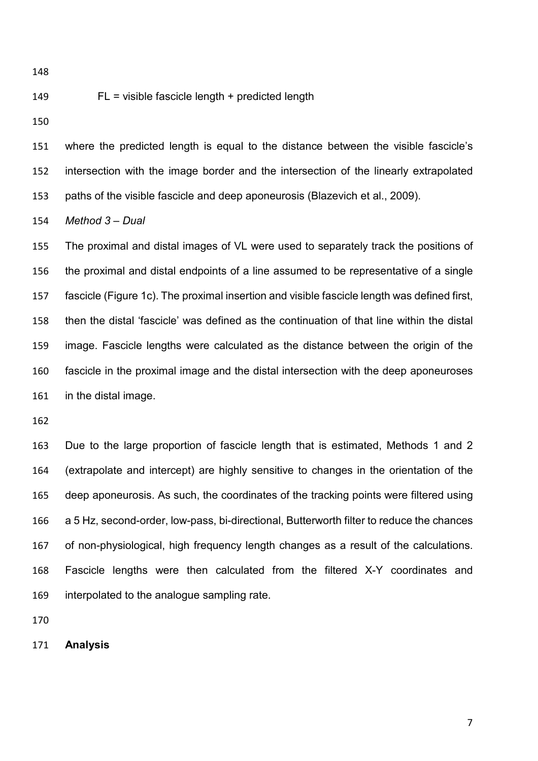#### FL = visible fascicle length + predicted length

 where the predicted length is equal to the distance between the visible fascicle's intersection with the image border and the intersection of the linearly extrapolated paths of the visible fascicle and deep aponeurosis (Blazevich et al., 2009).

*Method 3 – Dual*

 The proximal and distal images of VL were used to separately track the positions of the proximal and distal endpoints of a line assumed to be representative of a single fascicle (Figure 1c). The proximal insertion and visible fascicle length was defined first, then the distal 'fascicle' was defined as the continuation of that line within the distal image. Fascicle lengths were calculated as the distance between the origin of the fascicle in the proximal image and the distal intersection with the deep aponeuroses in the distal image.

 Due to the large proportion of fascicle length that is estimated, Methods 1 and 2 (extrapolate and intercept) are highly sensitive to changes in the orientation of the deep aponeurosis. As such, the coordinates of the tracking points were filtered using a 5 Hz, second-order, low-pass, bi-directional, Butterworth filter to reduce the chances of non-physiological, high frequency length changes as a result of the calculations. Fascicle lengths were then calculated from the filtered X-Y coordinates and interpolated to the analogue sampling rate.

**Analysis**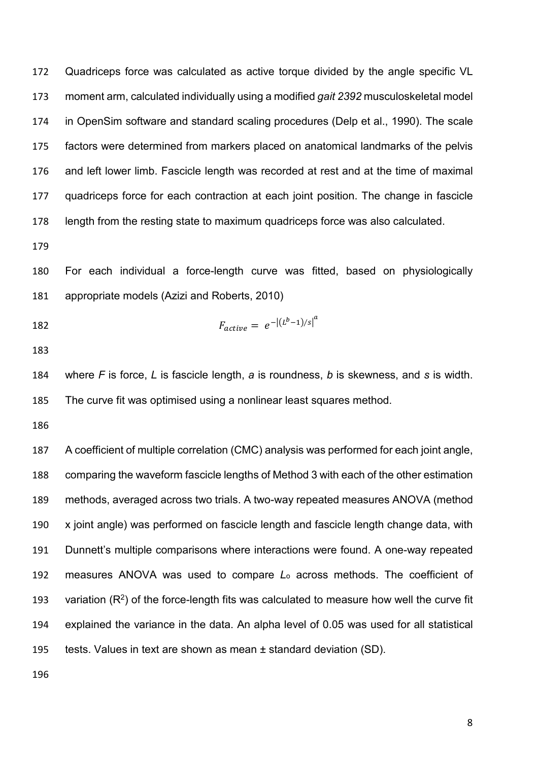Quadriceps force was calculated as active torque divided by the angle specific VL moment arm, calculated individually using a modified *gait 2392* musculoskeletal model in OpenSim software and standard scaling procedures (Delp et al., 1990). The scale factors were determined from markers placed on anatomical landmarks of the pelvis and left lower limb. Fascicle length was recorded at rest and at the time of maximal quadriceps force for each contraction at each joint position. The change in fascicle length from the resting state to maximum quadriceps force was also calculated.

 For each individual a force-length curve was fitted, based on physiologically appropriate models (Azizi and Roberts, 2010)

182 
$$
F_{active} = e^{-|(L^b - 1)/s|^a}
$$

 where *F* is force, *L* is fascicle length, *a* is roundness, *b* is skewness, and *s* is width. The curve fit was optimised using a nonlinear least squares method.

 A coefficient of multiple correlation (CMC) analysis was performed for each joint angle, comparing the waveform fascicle lengths of Method 3 with each of the other estimation methods, averaged across two trials. A two-way repeated measures ANOVA (method x joint angle) was performed on fascicle length and fascicle length change data, with Dunnett's multiple comparisons where interactions were found. A one-way repeated measures ANOVA was used to compare *L*<sup>o</sup> across methods. The coefficient of 193 variation  $(R^2)$  of the force-length fits was calculated to measure how well the curve fit explained the variance in the data. An alpha level of 0.05 was used for all statistical tests. Values in text are shown as mean ± standard deviation (SD).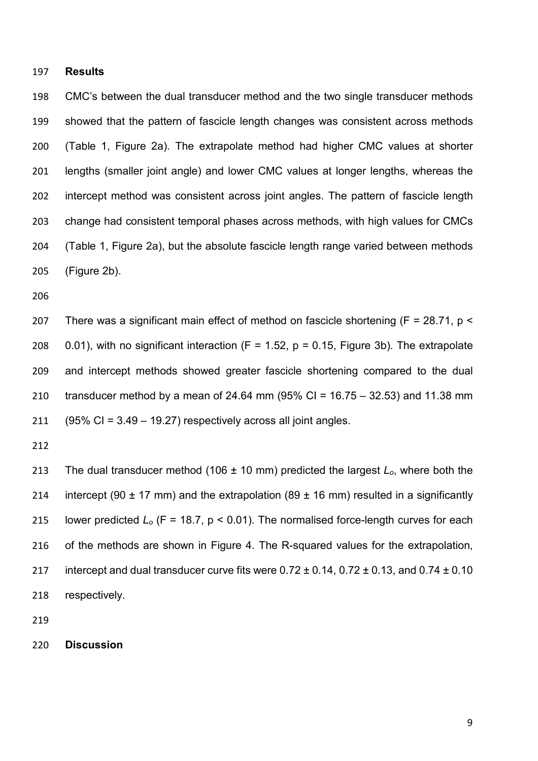### **Results**

 CMC's between the dual transducer method and the two single transducer methods showed that the pattern of fascicle length changes was consistent across methods (Table 1, Figure 2a). The extrapolate method had higher CMC values at shorter lengths (smaller joint angle) and lower CMC values at longer lengths, whereas the intercept method was consistent across joint angles. The pattern of fascicle length change had consistent temporal phases across methods, with high values for CMCs (Table 1, Figure 2a), but the absolute fascicle length range varied between methods (Figure 2b).

 There was a significant main effect of method on fascicle shortening (F = 28.71, p < 208 0.01), with no significant interaction (F = 1.52,  $p = 0.15$ , Figure 3b). The extrapolate and intercept methods showed greater fascicle shortening compared to the dual transducer method by a mean of 24.64 mm (95% CI = 16.75 – 32.53) and 11.38 mm  $(95\% \text{ CI} = 3.49 - 19.27)$  respectively across all joint angles.

 The dual transducer method (106 ± 10 mm) predicted the largest *Lo*, where both the 214 intercept (90  $\pm$  17 mm) and the extrapolation (89  $\pm$  16 mm) resulted in a significantly 215 lower predicted  $L_0$  (F = 18.7, p < 0.01). The normalised force-length curves for each of the methods are shown in Figure 4. The R-squared values for the extrapolation, 217 intercept and dual transducer curve fits were  $0.72 \pm 0.14$ ,  $0.72 \pm 0.13$ , and  $0.74 \pm 0.10$ respectively.

**Discussion**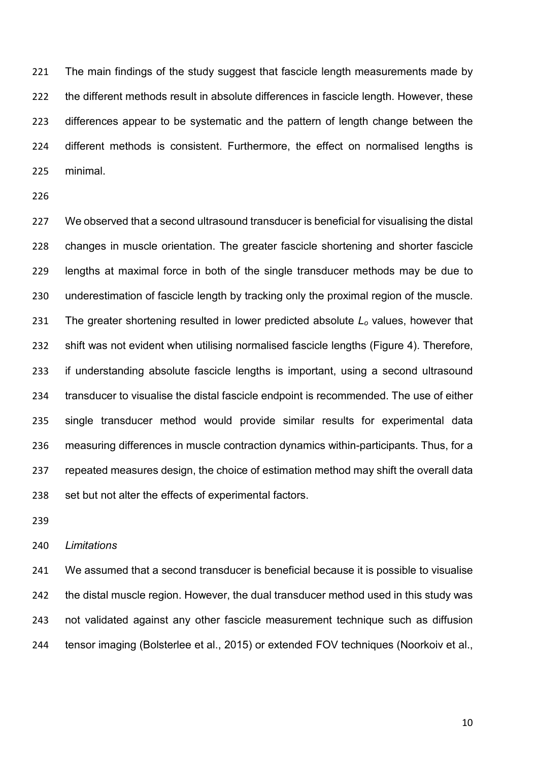The main findings of the study suggest that fascicle length measurements made by 222 the different methods result in absolute differences in fascicle length. However, these differences appear to be systematic and the pattern of length change between the different methods is consistent. Furthermore, the effect on normalised lengths is minimal.

 We observed that a second ultrasound transducer is beneficial for visualising the distal changes in muscle orientation. The greater fascicle shortening and shorter fascicle lengths at maximal force in both of the single transducer methods may be due to underestimation of fascicle length by tracking only the proximal region of the muscle. The greater shortening resulted in lower predicted absolute *Lo* values, however that shift was not evident when utilising normalised fascicle lengths (Figure 4). Therefore, if understanding absolute fascicle lengths is important, using a second ultrasound transducer to visualise the distal fascicle endpoint is recommended. The use of either single transducer method would provide similar results for experimental data measuring differences in muscle contraction dynamics within-participants. Thus, for a repeated measures design, the choice of estimation method may shift the overall data 238 set but not alter the effects of experimental factors.

#### *Limitations*

 We assumed that a second transducer is beneficial because it is possible to visualise the distal muscle region. However, the dual transducer method used in this study was not validated against any other fascicle measurement technique such as diffusion tensor imaging (Bolsterlee et al., 2015) or extended FOV techniques (Noorkoiv et al.,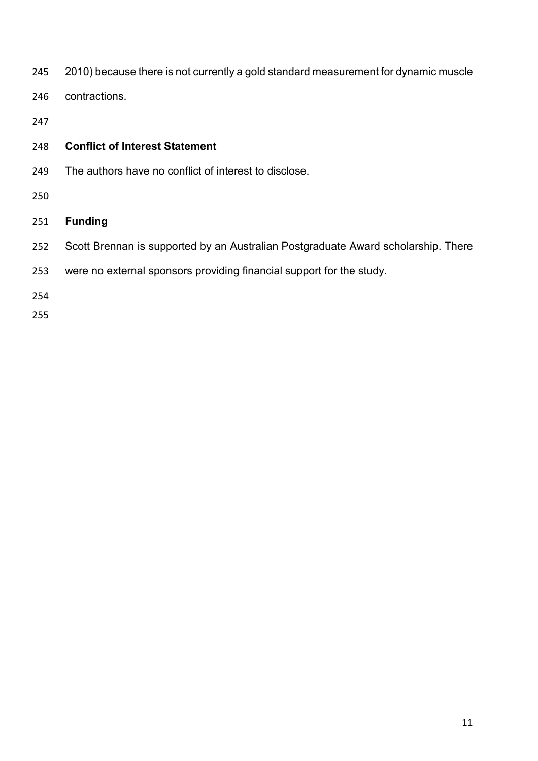- 2010) because there is not currently a gold standard measurement for dynamic muscle
- contractions.
- 

## **Conflict of Interest Statement**

- The authors have no conflict of interest to disclose.
- 

## **Funding**

- Scott Brennan is supported by an Australian Postgraduate Award scholarship. There
- were no external sponsors providing financial support for the study.
- 
-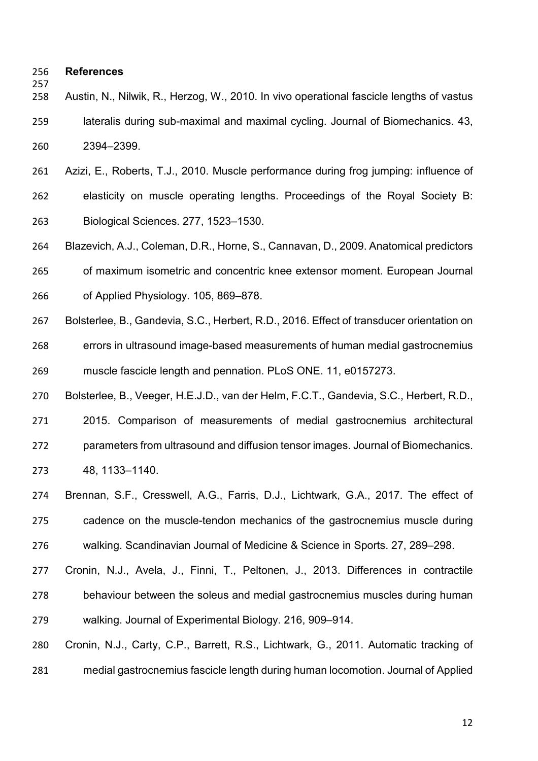#### **References**

 Austin, N., Nilwik, R., Herzog, W., 2010. In vivo operational fascicle lengths of vastus lateralis during sub-maximal and maximal cycling. Journal of Biomechanics. 43, 2394–2399.

 Azizi, E., Roberts, T.J., 2010. Muscle performance during frog jumping: influence of elasticity on muscle operating lengths. Proceedings of the Royal Society B: Biological Sciences. 277, 1523–1530.

 Blazevich, A.J., Coleman, D.R., Horne, S., Cannavan, D., 2009. Anatomical predictors of maximum isometric and concentric knee extensor moment. European Journal of Applied Physiology. 105, 869–878.

 Bolsterlee, B., Gandevia, S.C., Herbert, R.D., 2016. Effect of transducer orientation on errors in ultrasound image-based measurements of human medial gastrocnemius muscle fascicle length and pennation. PLoS ONE. 11, e0157273.

Bolsterlee, B., Veeger, H.E.J.D., van der Helm, F.C.T., Gandevia, S.C., Herbert, R.D.,

 2015. Comparison of measurements of medial gastrocnemius architectural parameters from ultrasound and diffusion tensor images. Journal of Biomechanics. 48, 1133–1140.

 Brennan, S.F., Cresswell, A.G., Farris, D.J., Lichtwark, G.A., 2017. The effect of cadence on the muscle-tendon mechanics of the gastrocnemius muscle during walking. Scandinavian Journal of Medicine & Science in Sports. 27, 289–298.

 Cronin, N.J., Avela, J., Finni, T., Peltonen, J., 2013. Differences in contractile behaviour between the soleus and medial gastrocnemius muscles during human walking. Journal of Experimental Biology. 216, 909–914.

 Cronin, N.J., Carty, C.P., Barrett, R.S., Lichtwark, G., 2011. Automatic tracking of medial gastrocnemius fascicle length during human locomotion. Journal of Applied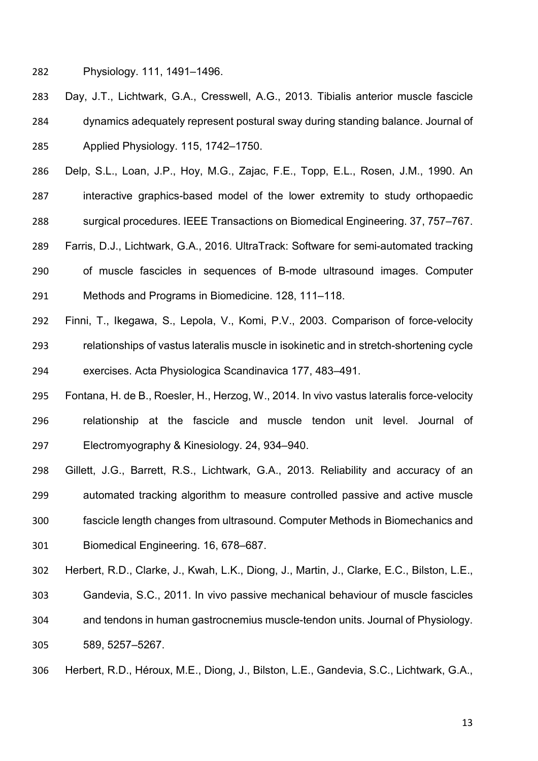Physiology. 111, 1491–1496.

- Day, J.T., Lichtwark, G.A., Cresswell, A.G., 2013. Tibialis anterior muscle fascicle dynamics adequately represent postural sway during standing balance. Journal of Applied Physiology. 115, 1742–1750.
- Delp, S.L., Loan, J.P., Hoy, M.G., Zajac, F.E., Topp, E.L., Rosen, J.M., 1990. An interactive graphics-based model of the lower extremity to study orthopaedic

surgical procedures. IEEE Transactions on Biomedical Engineering. 37, 757–767.

- Farris, D.J., Lichtwark, G.A., 2016. UltraTrack: Software for semi-automated tracking of muscle fascicles in sequences of B-mode ultrasound images. Computer Methods and Programs in Biomedicine. 128, 111–118.
- Finni, T., Ikegawa, S., Lepola, V., Komi, P.V., 2003. Comparison of force-velocity relationships of vastus lateralis muscle in isokinetic and in stretch-shortening cycle exercises. Acta Physiologica Scandinavica 177, 483–491.
- Fontana, H. de B., Roesler, H., Herzog, W., 2014. In vivo vastus lateralis force-velocity relationship at the fascicle and muscle tendon unit level. Journal of Electromyography & Kinesiology. 24, 934–940.
- Gillett, J.G., Barrett, R.S., Lichtwark, G.A., 2013. Reliability and accuracy of an automated tracking algorithm to measure controlled passive and active muscle fascicle length changes from ultrasound. Computer Methods in Biomechanics and Biomedical Engineering. 16, 678–687.
- Herbert, R.D., Clarke, J., Kwah, L.K., Diong, J., Martin, J., Clarke, E.C., Bilston, L.E., Gandevia, S.C., 2011. In vivo passive mechanical behaviour of muscle fascicles and tendons in human gastrocnemius muscle-tendon units. Journal of Physiology. 589, 5257–5267.
- Herbert, R.D., Héroux, M.E., Diong, J., Bilston, L.E., Gandevia, S.C., Lichtwark, G.A.,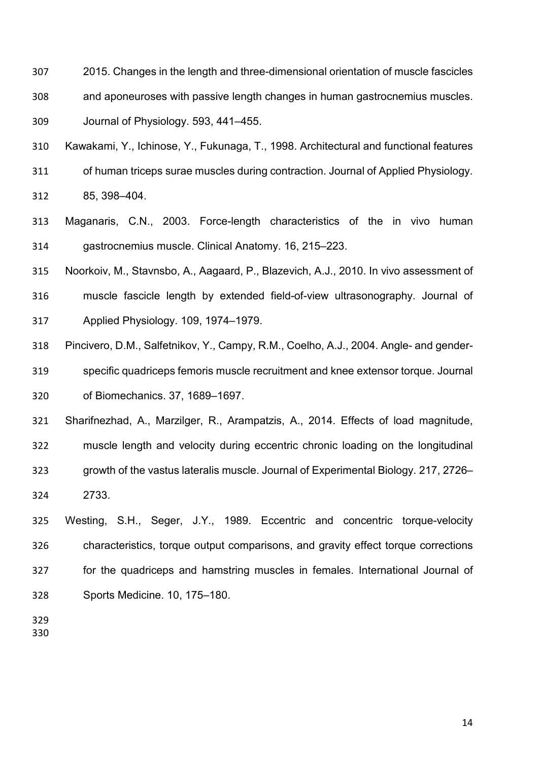- 2015. Changes in the length and three-dimensional orientation of muscle fascicles
- and aponeuroses with passive length changes in human gastrocnemius muscles. Journal of Physiology. 593, 441–455.
- Kawakami, Y., Ichinose, Y., Fukunaga, T., 1998. Architectural and functional features of human triceps surae muscles during contraction. Journal of Applied Physiology. 85, 398–404.
- Maganaris, C.N., 2003. Force-length characteristics of the in vivo human gastrocnemius muscle. Clinical Anatomy. 16, 215–223.

Noorkoiv, M., Stavnsbo, A., Aagaard, P., Blazevich, A.J., 2010. In vivo assessment of

- muscle fascicle length by extended field-of-view ultrasonography. Journal of Applied Physiology. 109, 1974–1979.
- Pincivero, D.M., Salfetnikov, Y., Campy, R.M., Coelho, A.J., 2004. Angle- and gender- specific quadriceps femoris muscle recruitment and knee extensor torque. Journal of Biomechanics. 37, 1689–1697.

 Sharifnezhad, A., Marzilger, R., Arampatzis, A., 2014. Effects of load magnitude, muscle length and velocity during eccentric chronic loading on the longitudinal growth of the vastus lateralis muscle. Journal of Experimental Biology. 217, 2726– 2733.

 Westing, S.H., Seger, J.Y., 1989. Eccentric and concentric torque-velocity characteristics, torque output comparisons, and gravity effect torque corrections for the quadriceps and hamstring muscles in females. International Journal of Sports Medicine. 10, 175–180.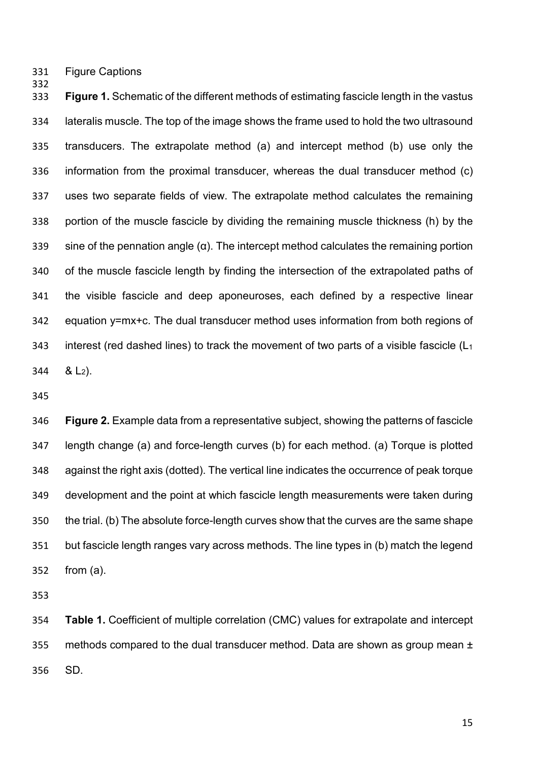Figure Captions

 **Figure 1.** Schematic of the different methods of estimating fascicle length in the vastus lateralis muscle. The top of the image shows the frame used to hold the two ultrasound transducers. The extrapolate method (a) and intercept method (b) use only the information from the proximal transducer, whereas the dual transducer method (c) uses two separate fields of view. The extrapolate method calculates the remaining portion of the muscle fascicle by dividing the remaining muscle thickness (h) by the 339 sine of the pennation angle  $(\alpha)$ . The intercept method calculates the remaining portion of the muscle fascicle length by finding the intersection of the extrapolated paths of the visible fascicle and deep aponeuroses, each defined by a respective linear equation y=mx+c. The dual transducer method uses information from both regions of 343 interest (red dashed lines) to track the movement of two parts of a visible fascicle  $(L_1)$  $344 \& L_2$ ).

 **Figure 2.** Example data from a representative subject, showing the patterns of fascicle length change (a) and force-length curves (b) for each method. (a) Torque is plotted against the right axis (dotted). The vertical line indicates the occurrence of peak torque development and the point at which fascicle length measurements were taken during the trial. (b) The absolute force-length curves show that the curves are the same shape but fascicle length ranges vary across methods. The line types in (b) match the legend from (a).

 **Table 1.** Coefficient of multiple correlation (CMC) values for extrapolate and intercept 355 methods compared to the dual transducer method. Data are shown as group mean  $\pm$ SD.